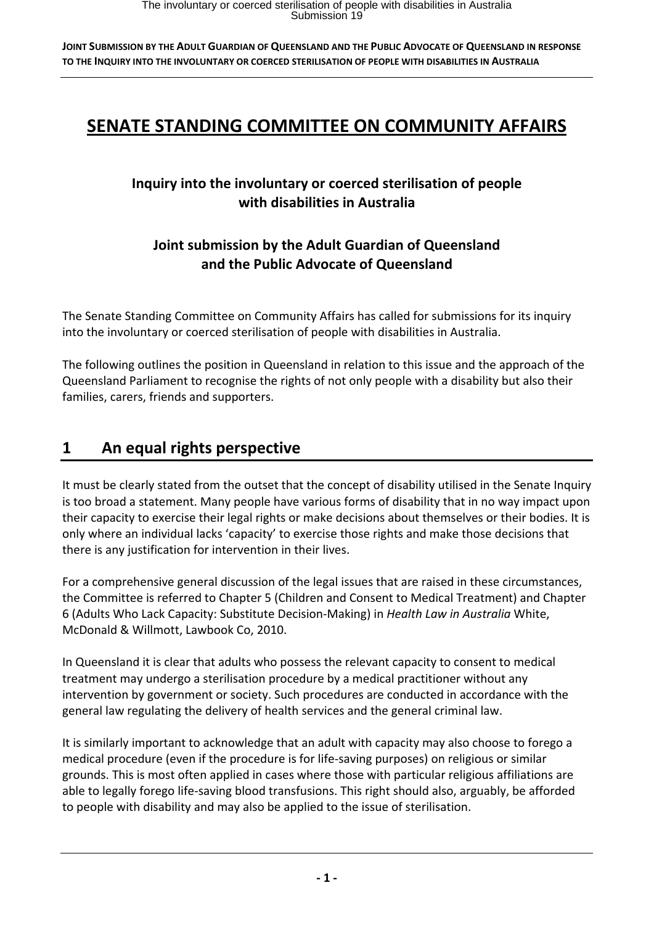# **SENATE STANDING COMMITTEE ON COMMUNITY AFFAIRS**

# **Inquiry into the involuntary or coerced sterilisation of people with disabilities in Australia**

# **Joint submission by the Adult Guardian of Queensland and the Public Advocate of Queensland**

The Senate Standing Committee on Community Affairs has called for submissions for its inquiry into the involuntary or coerced sterilisation of people with disabilities in Australia.

The following outlines the position in Queensland in relation to this issue and the approach of the Queensland Parliament to recognise the rights of not only people with a disability but also their families, carers, friends and supporters.

# **1 An equal rights perspective**

It must be clearly stated from the outset that the concept of disability utilised in the Senate Inquiry is too broad a statement. Many people have various forms of disability that in no way impact upon their capacity to exercise their legal rights or make decisions about themselves or their bodies. It is only where an individual lacks 'capacity' to exercise those rights and make those decisions that there is any justification for intervention in their lives.

For a comprehensive general discussion of the legal issues that are raised in these circumstances, the Committee is referred to Chapter 5 (Children and Consent to Medical Treatment) and Chapter 6 (Adults Who Lack Capacity: Substitute Decision‐Making) in *Health Law in Australia* White, McDonald & Willmott, Lawbook Co, 2010.

In Queensland it is clear that adults who possess the relevant capacity to consent to medical treatment may undergo a sterilisation procedure by a medical practitioner without any intervention by government or society. Such procedures are conducted in accordance with the general law regulating the delivery of health services and the general criminal law.

It is similarly important to acknowledge that an adult with capacity may also choose to forego a medical procedure (even if the procedure is for life‐saving purposes) on religious or similar grounds. This is most often applied in cases where those with particular religious affiliations are able to legally forego life‐saving blood transfusions. This right should also, arguably, be afforded to people with disability and may also be applied to the issue of sterilisation.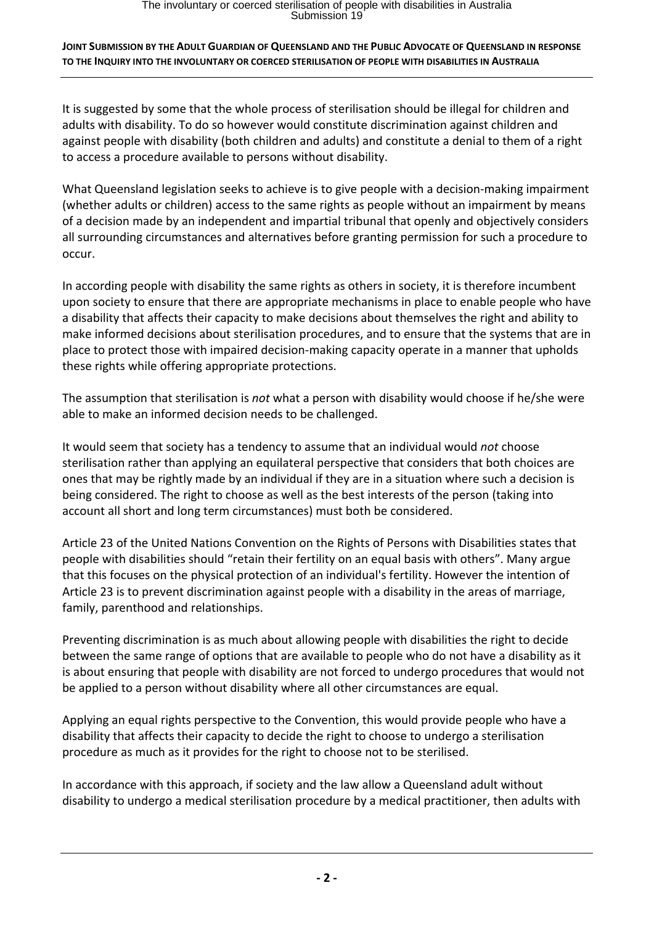It is suggested by some that the whole process of sterilisation should be illegal for children and adults with disability. To do so however would constitute discrimination against children and against people with disability (both children and adults) and constitute a denial to them of a right to access a procedure available to persons without disability.

What Queensland legislation seeks to achieve is to give people with a decision-making impairment (whether adults or children) access to the same rights as people without an impairment by means of a decision made by an independent and impartial tribunal that openly and objectively considers all surrounding circumstances and alternatives before granting permission for such a procedure to occur.

In according people with disability the same rights as others in society, it is therefore incumbent upon society to ensure that there are appropriate mechanisms in place to enable people who have a disability that affects their capacity to make decisions about themselves the right and ability to make informed decisions about sterilisation procedures, and to ensure that the systems that are in place to protect those with impaired decision‐making capacity operate in a manner that upholds these rights while offering appropriate protections.

The assumption that sterilisation is *not* what a person with disability would choose if he/she were able to make an informed decision needs to be challenged.

It would seem that society has a tendency to assume that an individual would *not* choose sterilisation rather than applying an equilateral perspective that considers that both choices are ones that may be rightly made by an individual if they are in a situation where such a decision is being considered. The right to choose as well as the best interests of the person (taking into account all short and long term circumstances) must both be considered.

Article 23 of the United Nations Convention on the Rights of Persons with Disabilities states that people with disabilities should "retain their fertility on an equal basis with others". Many argue that this focuses on the physical protection of an individual's fertility. However the intention of Article 23 is to prevent discrimination against people with a disability in the areas of marriage, family, parenthood and relationships.

Preventing discrimination is as much about allowing people with disabilities the right to decide between the same range of options that are available to people who do not have a disability as it is about ensuring that people with disability are not forced to undergo procedures that would not be applied to a person without disability where all other circumstances are equal.

Applying an equal rights perspective to the Convention, this would provide people who have a disability that affects their capacity to decide the right to choose to undergo a sterilisation procedure as much as it provides for the right to choose not to be sterilised.

In accordance with this approach, if society and the law allow a Queensland adult without disability to undergo a medical sterilisation procedure by a medical practitioner, then adults with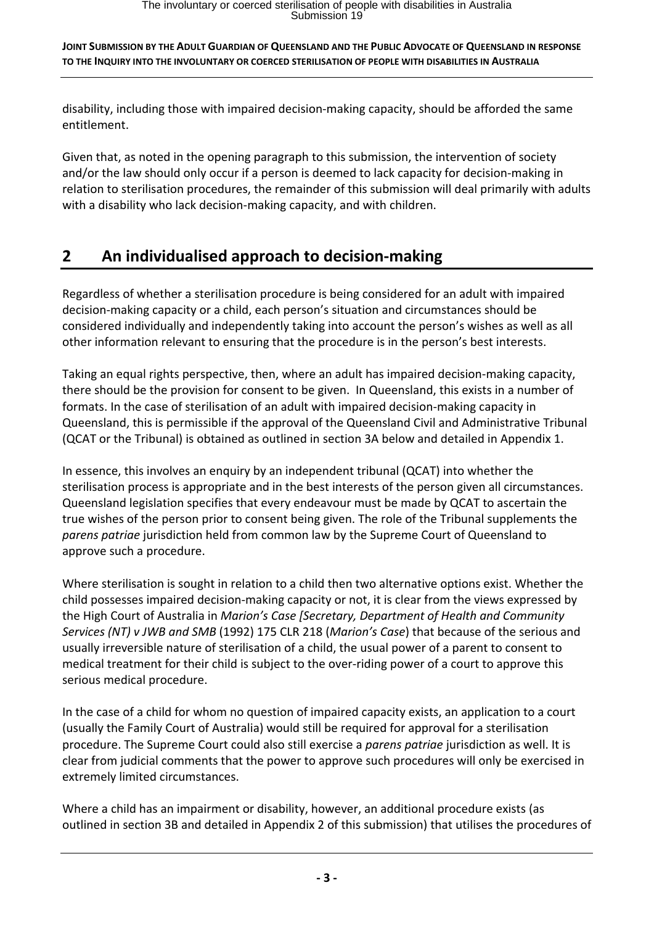disability, including those with impaired decision‐making capacity, should be afforded the same entitlement.

Given that, as noted in the opening paragraph to this submission, the intervention of society and/or the law should only occur if a person is deemed to lack capacity for decision-making in relation to sterilisation procedures, the remainder of this submission will deal primarily with adults with a disability who lack decision-making capacity, and with children.

# **2 An individualised approach to decision‐making**

Regardless of whether a sterilisation procedure is being considered for an adult with impaired decision‐making capacity or a child, each person's situation and circumstances should be considered individually and independently taking into account the person's wishes as well as all other information relevant to ensuring that the procedure is in the person's best interests.

Taking an equal rights perspective, then, where an adult has impaired decision‐making capacity, there should be the provision for consent to be given. In Queensland, this exists in a number of formats. In the case of sterilisation of an adult with impaired decision-making capacity in Queensland, this is permissible if the approval of the Queensland Civil and Administrative Tribunal (QCAT or the Tribunal) is obtained as outlined in section 3A below and detailed in Appendix 1.

In essence, this involves an enquiry by an independent tribunal (QCAT) into whether the sterilisation process is appropriate and in the best interests of the person given all circumstances. Queensland legislation specifies that every endeavour must be made by QCAT to ascertain the true wishes of the person prior to consent being given. The role of the Tribunal supplements the *parens patriae* jurisdiction held from common law by the Supreme Court of Queensland to approve such a procedure.

Where sterilisation is sought in relation to a child then two alternative options exist. Whether the child possesses impaired decision‐making capacity or not, it is clear from the views expressed by the High Court of Australia in *Marion's Case [Secretary, Department of Health and Community Services (NT) v JWB and SMB* (1992) 175 CLR 218 (*Marion's Case*) that because of the serious and usually irreversible nature of sterilisation of a child, the usual power of a parent to consent to medical treatment for their child is subject to the over‐riding power of a court to approve this serious medical procedure.

In the case of a child for whom no question of impaired capacity exists, an application to a court (usually the Family Court of Australia) would still be required for approval for a sterilisation procedure. The Supreme Court could also still exercise a *parens patriae* jurisdiction as well. It is clear from judicial comments that the power to approve such procedures will only be exercised in extremely limited circumstances.

Where a child has an impairment or disability, however, an additional procedure exists (as outlined in section 3B and detailed in Appendix 2 of this submission) that utilises the procedures of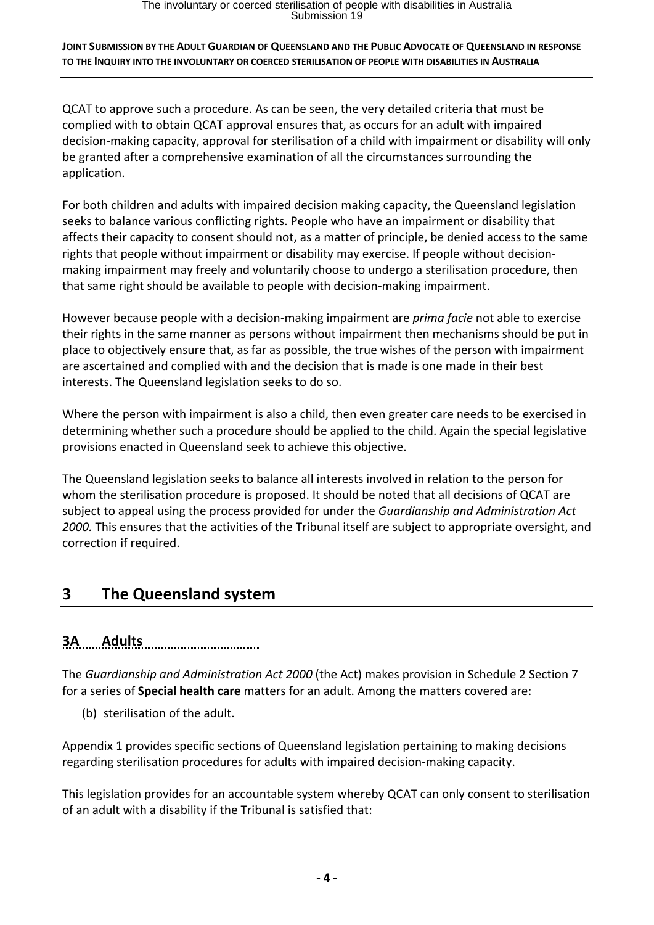QCAT to approve such a procedure. As can be seen, the very detailed criteria that must be complied with to obtain QCAT approval ensures that, as occurs for an adult with impaired decision‐making capacity, approval for sterilisation of a child with impairment or disability will only be granted after a comprehensive examination of all the circumstances surrounding the application.

For both children and adults with impaired decision making capacity, the Queensland legislation seeks to balance various conflicting rights. People who have an impairment or disability that affects their capacity to consent should not, as a matter of principle, be denied access to the same rights that people without impairment or disability may exercise. If people without decision‐ making impairment may freely and voluntarily choose to undergo a sterilisation procedure, then that same right should be available to people with decision‐making impairment.

However because people with a decision‐making impairment are *prima facie* not able to exercise their rights in the same manner as persons without impairment then mechanisms should be put in place to objectively ensure that, as far as possible, the true wishes of the person with impairment are ascertained and complied with and the decision that is made is one made in their best interests. The Queensland legislation seeks to do so.

Where the person with impairment is also a child, then even greater care needs to be exercised in determining whether such a procedure should be applied to the child. Again the special legislative provisions enacted in Queensland seek to achieve this objective.

The Queensland legislation seeks to balance all interests involved in relation to the person for whom the sterilisation procedure is proposed. It should be noted that all decisions of QCAT are subject to appeal using the process provided for under the *Guardianship and Administration Act 2000.* This ensures that the activities of the Tribunal itself are subject to appropriate oversight, and correction if required.

# **3 The Queensland system**

# **3A Adults**

The *Guardianship and Administration Act 2000* (the Act) makes provision in Schedule 2 Section 7 for a series of **Special health care** matters for an adult. Among the matters covered are:

(b) sterilisation of the adult.

Appendix 1 provides specific sections of Queensland legislation pertaining to making decisions regarding sterilisation procedures for adults with impaired decision‐making capacity.

This legislation provides for an accountable system whereby QCAT can only consent to sterilisation of an adult with a disability if the Tribunal is satisfied that: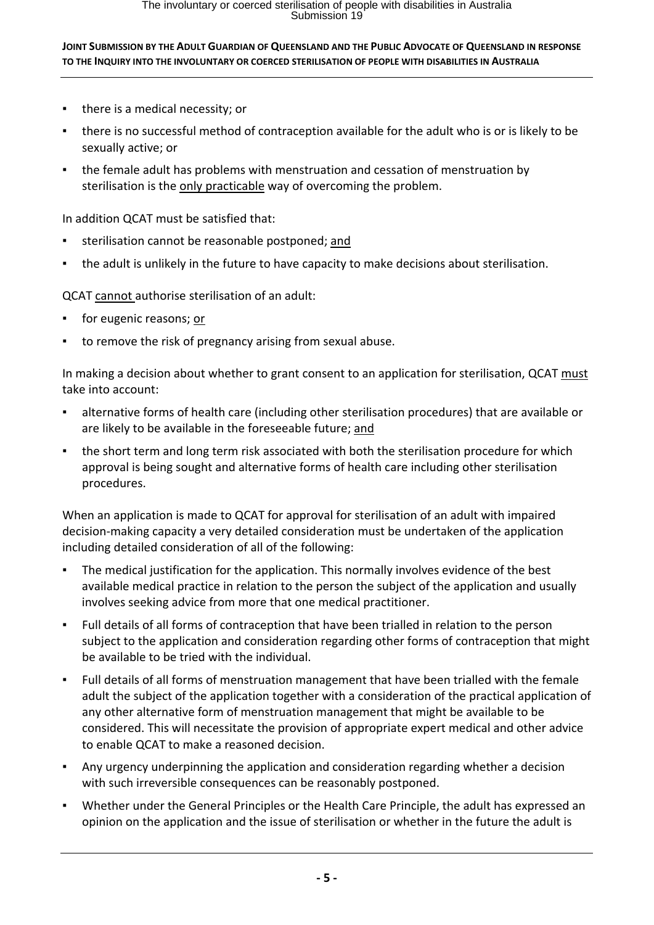- there is a medical necessity; or
- there is no successful method of contraception available for the adult who is or is likely to be sexually active; or
- the female adult has problems with menstruation and cessation of menstruation by sterilisation is the only practicable way of overcoming the problem.

In addition QCAT must be satisfied that:

- sterilisation cannot be reasonable postponed; and
- the adult is unlikely in the future to have capacity to make decisions about sterilisation.

QCAT cannot authorise sterilisation of an adult:

- for eugenic reasons; or
- to remove the risk of pregnancy arising from sexual abuse.

In making a decision about whether to grant consent to an application for sterilisation, QCAT must take into account:

- alternative forms of health care (including other sterilisation procedures) that are available or are likely to be available in the foreseeable future; and
- the short term and long term risk associated with both the sterilisation procedure for which approval is being sought and alternative forms of health care including other sterilisation procedures.

When an application is made to QCAT for approval for sterilisation of an adult with impaired decision‐making capacity a very detailed consideration must be undertaken of the application including detailed consideration of all of the following:

- The medical justification for the application. This normally involves evidence of the best available medical practice in relation to the person the subject of the application and usually involves seeking advice from more that one medical practitioner.
- Full details of all forms of contraception that have been trialled in relation to the person subject to the application and consideration regarding other forms of contraception that might be available to be tried with the individual.
- Full details of all forms of menstruation management that have been trialled with the female adult the subject of the application together with a consideration of the practical application of any other alternative form of menstruation management that might be available to be considered. This will necessitate the provision of appropriate expert medical and other advice to enable QCAT to make a reasoned decision.
- Any urgency underpinning the application and consideration regarding whether a decision with such irreversible consequences can be reasonably postponed.
- Whether under the General Principles or the Health Care Principle, the adult has expressed an opinion on the application and the issue of sterilisation or whether in the future the adult is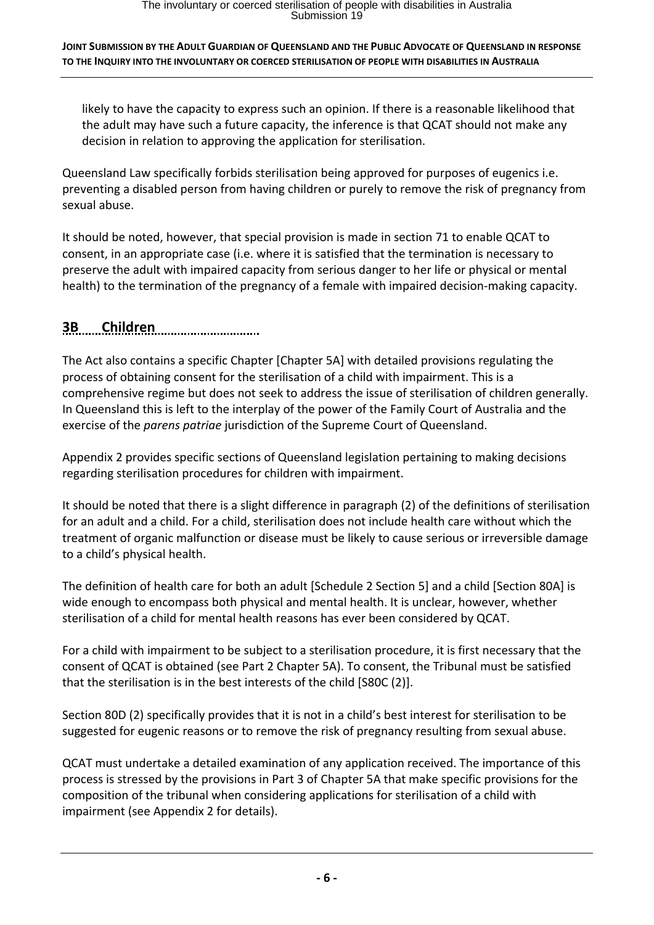likely to have the capacity to express such an opinion. If there is a reasonable likelihood that the adult may have such a future capacity, the inference is that QCAT should not make any decision in relation to approving the application for sterilisation.

Queensland Law specifically forbids sterilisation being approved for purposes of eugenics i.e. preventing a disabled person from having children or purely to remove the risk of pregnancy from sexual abuse.

It should be noted, however, that special provision is made in section 71 to enable QCAT to consent, in an appropriate case (i.e. where it is satisfied that the termination is necessary to preserve the adult with impaired capacity from serious danger to her life or physical or mental health) to the termination of the pregnancy of a female with impaired decision-making capacity.

# **3B Children**

The Act also contains a specific Chapter [Chapter 5A] with detailed provisions regulating the process of obtaining consent for the sterilisation of a child with impairment. This is a comprehensive regime but does not seek to address the issue of sterilisation of children generally. In Queensland this is left to the interplay of the power of the Family Court of Australia and the exercise of the *parens patriae* jurisdiction of the Supreme Court of Queensland.

Appendix 2 provides specific sections of Queensland legislation pertaining to making decisions regarding sterilisation procedures for children with impairment.

It should be noted that there is a slight difference in paragraph (2) of the definitions of sterilisation for an adult and a child. For a child, sterilisation does not include health care without which the treatment of organic malfunction or disease must be likely to cause serious or irreversible damage to a child's physical health.

The definition of health care for both an adult [Schedule 2 Section 5] and a child [Section 80A] is wide enough to encompass both physical and mental health. It is unclear, however, whether sterilisation of a child for mental health reasons has ever been considered by QCAT.

For a child with impairment to be subject to a sterilisation procedure, it is first necessary that the consent of QCAT is obtained (see Part 2 Chapter 5A). To consent, the Tribunal must be satisfied that the sterilisation is in the best interests of the child [S80C (2)].

Section 80D (2) specifically provides that it is not in a child's best interest for sterilisation to be suggested for eugenic reasons or to remove the risk of pregnancy resulting from sexual abuse.

QCAT must undertake a detailed examination of any application received. The importance of this process is stressed by the provisions in Part 3 of Chapter 5A that make specific provisions for the composition of the tribunal when considering applications for sterilisation of a child with impairment (see Appendix 2 for details).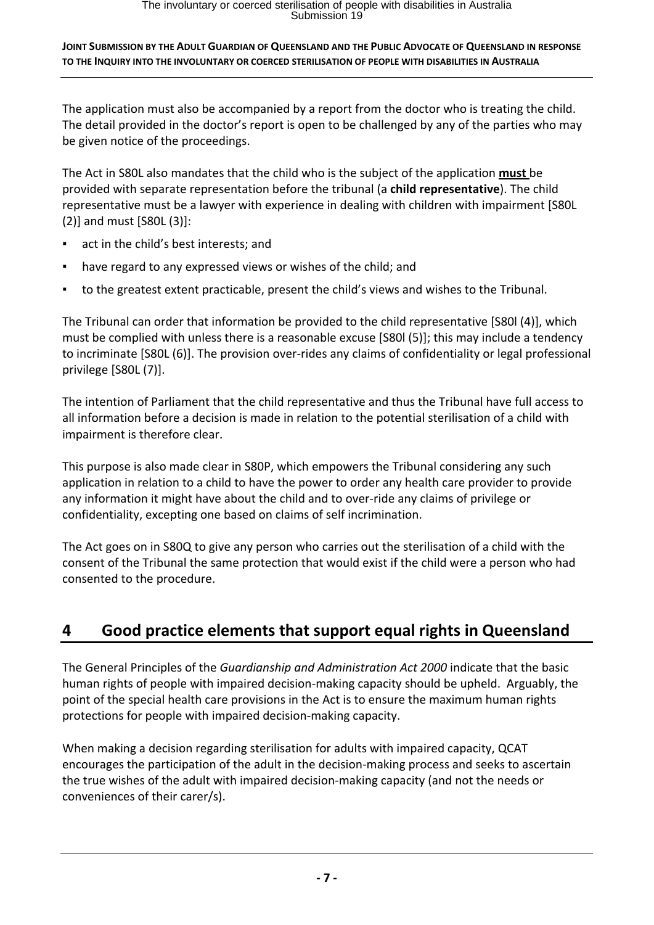The application must also be accompanied by a report from the doctor who is treating the child. The detail provided in the doctor's report is open to be challenged by any of the parties who may be given notice of the proceedings.

The Act in S80L also mandates that the child who is the subject of the application **must** be provided with separate representation before the tribunal (a **child representative**). The child representative must be a lawyer with experience in dealing with children with impairment [S80L (2)] and must [S80L (3)]:

- act in the child's best interests; and
- have regard to any expressed views or wishes of the child; and
- to the greatest extent practicable, present the child's views and wishes to the Tribunal.

The Tribunal can order that information be provided to the child representative [S80l (4)], which must be complied with unless there is a reasonable excuse [S80l (5)]; this may include a tendency to incriminate [S80L (6)]. The provision over‐rides any claims of confidentiality or legal professional privilege [S80L (7)].

The intention of Parliament that the child representative and thus the Tribunal have full access to all information before a decision is made in relation to the potential sterilisation of a child with impairment is therefore clear.

This purpose is also made clear in S80P, which empowers the Tribunal considering any such application in relation to a child to have the power to order any health care provider to provide any information it might have about the child and to over-ride any claims of privilege or confidentiality, excepting one based on claims of self incrimination.

The Act goes on in S80Q to give any person who carries out the sterilisation of a child with the consent of the Tribunal the same protection that would exist if the child were a person who had consented to the procedure.

# **4 Good practice elements that support equal rights in Queensland**

The General Principles of the *Guardianship and Administration Act 2000* indicate that the basic human rights of people with impaired decision‐making capacity should be upheld. Arguably, the point of the special health care provisions in the Act is to ensure the maximum human rights protections for people with impaired decision‐making capacity.

When making a decision regarding sterilisation for adults with impaired capacity, QCAT encourages the participation of the adult in the decision‐making process and seeks to ascertain the true wishes of the adult with impaired decision‐making capacity (and not the needs or conveniences of their carer/s).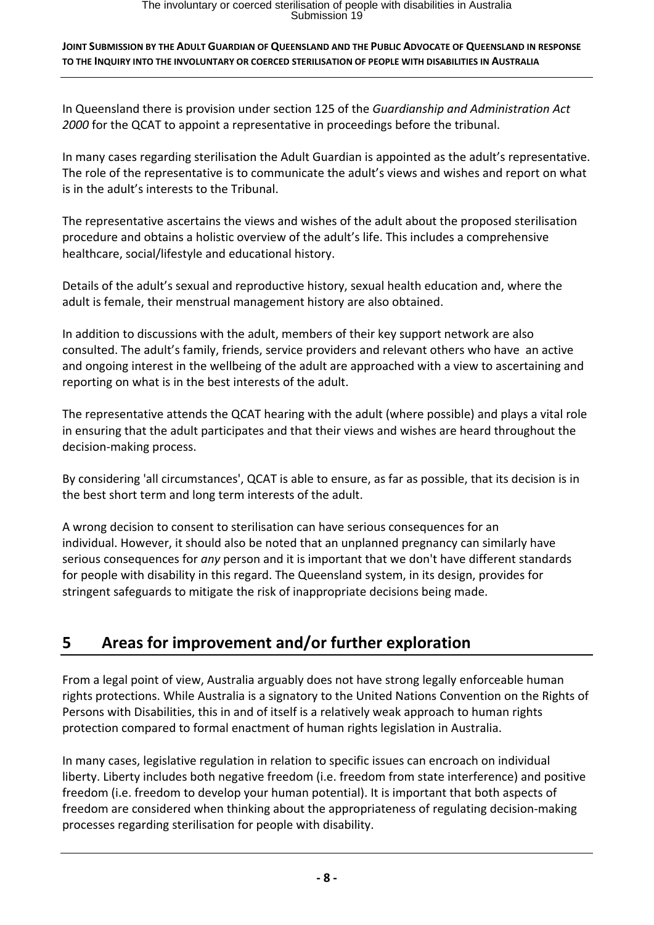# The involuntary or coerced sterilisation of people with disabilities in Australia<br>Submission 19

### **JOINT SUBMISSION BY THE ADULT GUARDIAN OF QUEENSLAND AND THE PUBLIC ADVOCATE OF QUEENSLAND IN RESPONSE TO THE INQUIRY INTO THE INVOLUNTARY OR COERCED STERILISATION OF PEOPLE WITH DISABILITIES IN AUSTRALIA**

In Queensland there is provision under section 125 of the *Guardianship and Administration Act 2000* for the QCAT to appoint a representative in proceedings before the tribunal.

In many cases regarding sterilisation the Adult Guardian is appointed as the adult's representative. The role of the representative is to communicate the adult's views and wishes and report on what is in the adult's interests to the Tribunal.

The representative ascertains the views and wishes of the adult about the proposed sterilisation procedure and obtains a holistic overview of the adult's life. This includes a comprehensive healthcare, social/lifestyle and educational history.

Details of the adult's sexual and reproductive history, sexual health education and, where the adult is female, their menstrual management history are also obtained.

In addition to discussions with the adult, members of their key support network are also consulted. The adult's family, friends, service providers and relevant others who have an active and ongoing interest in the wellbeing of the adult are approached with a view to ascertaining and reporting on what is in the best interests of the adult.

The representative attends the QCAT hearing with the adult (where possible) and plays a vital role in ensuring that the adult participates and that their views and wishes are heard throughout the decision‐making process.

By considering 'all circumstances', QCAT is able to ensure, as far as possible, that its decision is in the best short term and long term interests of the adult.

A wrong decision to consent to sterilisation can have serious consequences for an individual. However, it should also be noted that an unplanned pregnancy can similarly have serious consequences for *any* person and it is important that we don't have different standards for people with disability in this regard. The Queensland system, in its design, provides for stringent safeguards to mitigate the risk of inappropriate decisions being made.

# **5 Areas for improvement and/or further exploration**

From a legal point of view, Australia arguably does not have strong legally enforceable human rights protections. While Australia is a signatory to the United Nations Convention on the Rights of Persons with Disabilities, this in and of itself is a relatively weak approach to human rights protection compared to formal enactment of human rights legislation in Australia.

In many cases, legislative regulation in relation to specific issues can encroach on individual liberty. Liberty includes both negative freedom (i.e. freedom from state interference) and positive freedom (i.e. freedom to develop your human potential). It is important that both aspects of freedom are considered when thinking about the appropriateness of regulating decision‐making processes regarding sterilisation for people with disability.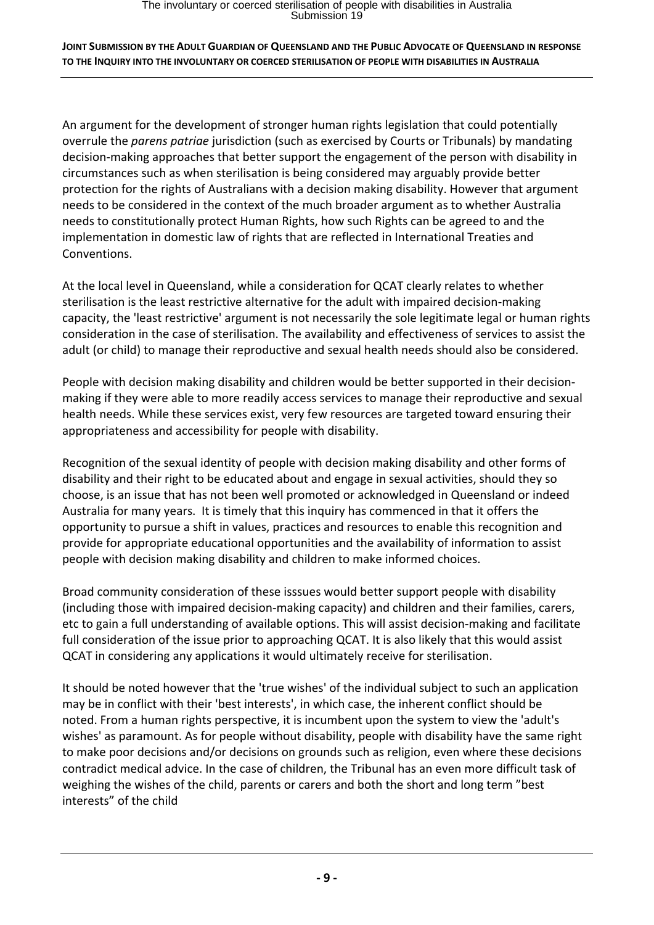An argument for the development of stronger human rights legislation that could potentially overrule the *parens patriae* jurisdiction (such as exercised by Courts or Tribunals) by mandating decision‐making approaches that better support the engagement of the person with disability in circumstances such as when sterilisation is being considered may arguably provide better protection for the rights of Australians with a decision making disability. However that argument needs to be considered in the context of the much broader argument as to whether Australia needs to constitutionally protect Human Rights, how such Rights can be agreed to and the implementation in domestic law of rights that are reflected in International Treaties and Conventions.

At the local level in Queensland, while a consideration for QCAT clearly relates to whether sterilisation is the least restrictive alternative for the adult with impaired decision-making capacity, the 'least restrictive' argument is not necessarily the sole legitimate legal or human rights consideration in the case of sterilisation. The availability and effectiveness of services to assist the adult (or child) to manage their reproductive and sexual health needs should also be considered.

People with decision making disability and children would be better supported in their decision‐ making if they were able to more readily access services to manage their reproductive and sexual health needs. While these services exist, very few resources are targeted toward ensuring their appropriateness and accessibility for people with disability.

Recognition of the sexual identity of people with decision making disability and other forms of disability and their right to be educated about and engage in sexual activities, should they so choose, is an issue that has not been well promoted or acknowledged in Queensland or indeed Australia for many years. It is timely that this inquiry has commenced in that it offers the opportunity to pursue a shift in values, practices and resources to enable this recognition and provide for appropriate educational opportunities and the availability of information to assist people with decision making disability and children to make informed choices.

Broad community consideration of these isssues would better support people with disability (including those with impaired decision‐making capacity) and children and their families, carers, etc to gain a full understanding of available options. This will assist decision-making and facilitate full consideration of the issue prior to approaching QCAT. It is also likely that this would assist QCAT in considering any applications it would ultimately receive for sterilisation.

It should be noted however that the 'true wishes' of the individual subject to such an application may be in conflict with their 'best interests', in which case, the inherent conflict should be noted. From a human rights perspective, it is incumbent upon the system to view the 'adult's wishes' as paramount. As for people without disability, people with disability have the same right to make poor decisions and/or decisions on grounds such as religion, even where these decisions contradict medical advice. In the case of children, the Tribunal has an even more difficult task of weighing the wishes of the child, parents or carers and both the short and long term "best interests" of the child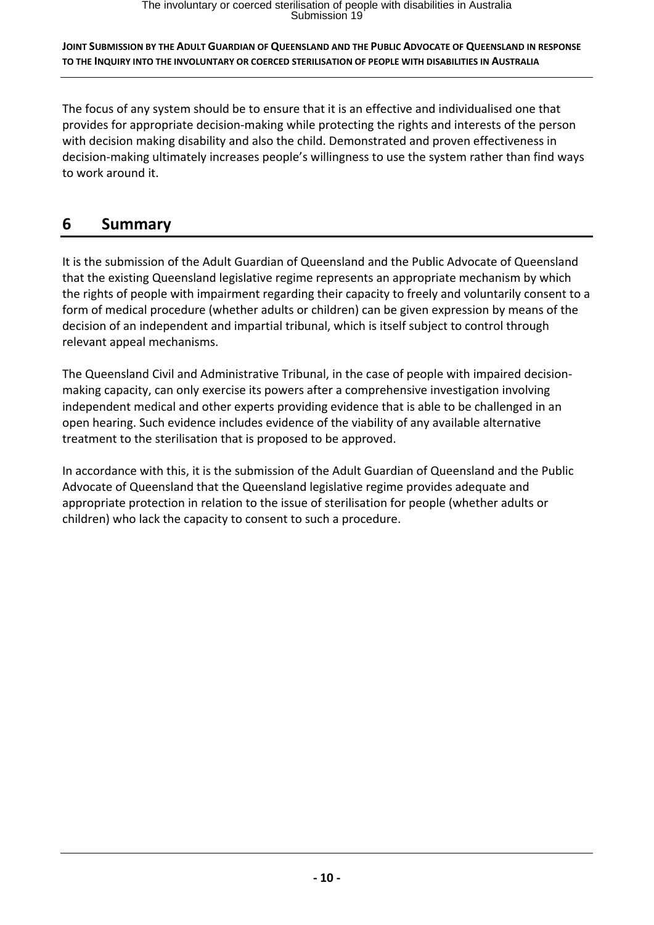The focus of any system should be to ensure that it is an effective and individualised one that provides for appropriate decision‐making while protecting the rights and interests of the person with decision making disability and also the child. Demonstrated and proven effectiveness in decision‐making ultimately increases people's willingness to use the system rather than find ways to work around it.

# **6 Summary**

It is the submission of the Adult Guardian of Queensland and the Public Advocate of Queensland that the existing Queensland legislative regime represents an appropriate mechanism by which the rights of people with impairment regarding their capacity to freely and voluntarily consent to a form of medical procedure (whether adults or children) can be given expression by means of the decision of an independent and impartial tribunal, which is itself subject to control through relevant appeal mechanisms.

The Queensland Civil and Administrative Tribunal, in the case of people with impaired decision‐ making capacity, can only exercise its powers after a comprehensive investigation involving independent medical and other experts providing evidence that is able to be challenged in an open hearing. Such evidence includes evidence of the viability of any available alternative treatment to the sterilisation that is proposed to be approved.

In accordance with this, it is the submission of the Adult Guardian of Queensland and the Public Advocate of Queensland that the Queensland legislative regime provides adequate and appropriate protection in relation to the issue of sterilisation for people (whether adults or children) who lack the capacity to consent to such a procedure.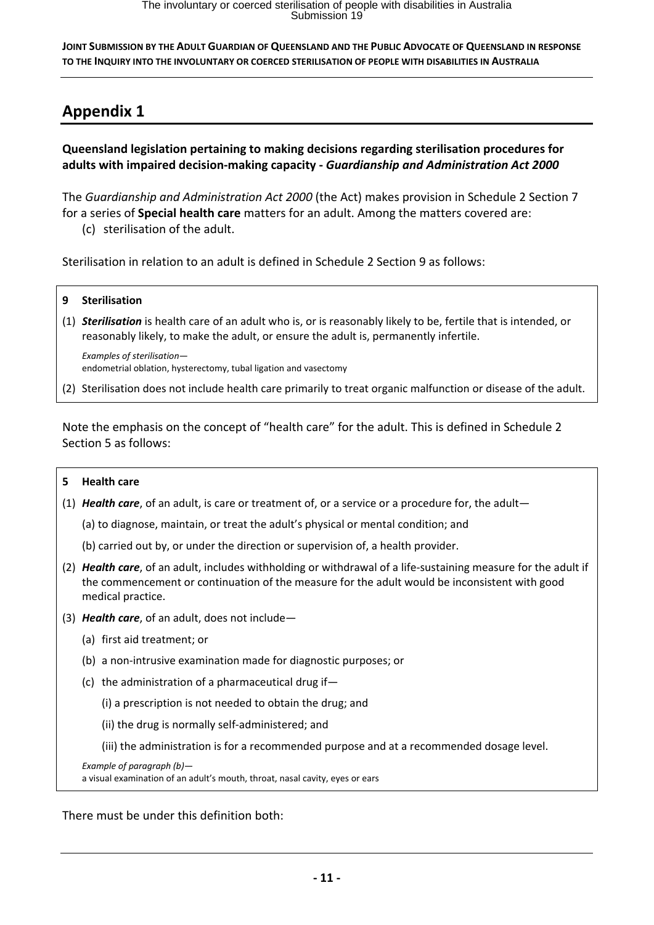# **Appendix 1**

**Queensland legislation pertaining to making decisions regarding sterilisation procedures for adults with impaired decision‐making capacity ‐** *Guardianship and Administration Act 2000*

The *Guardianship and Administration Act 2000* (the Act) makes provision in Schedule 2 Section 7 for a series of **Special health care** matters for an adult. Among the matters covered are:

(c) sterilisation of the adult.

Sterilisation in relation to an adult is defined in Schedule 2 Section 9 as follows:

- **9 Sterilisation**
- (1) *Sterilisation* is health care of an adult who is, or is reasonably likely to be, fertile that is intended, or reasonably likely, to make the adult, or ensure the adult is, permanently infertile.

*Examples of sterilisation* endometrial oblation, hysterectomy, tubal ligation and vasectomy

(2) Sterilisation does not include health care primarily to treat organic malfunction or disease of the adult.

Note the emphasis on the concept of "health care" for the adult. This is defined in Schedule 2 Section 5 as follows:

#### **5 Health care**

(1) *Health care*, of an adult, is care or treatment of, or a service or a procedure for, the adult—

(a) to diagnose, maintain, or treat the adult's physical or mental condition; and

(b) carried out by, or under the direction or supervision of, a health provider.

- (2) *Health care*, of an adult, includes withholding or withdrawal of a life‐sustaining measure for the adult if the commencement or continuation of the measure for the adult would be inconsistent with good medical practice.
- (3) *Health care*, of an adult, does not include—
	- (a) first aid treatment; or
	- (b) a non‐intrusive examination made for diagnostic purposes; or
	- (c) the administration of a pharmaceutical drug if—
		- (i) a prescription is not needed to obtain the drug; and
		- (ii) the drug is normally self‐administered; and
		- (iii) the administration is for a recommended purpose and at a recommended dosage level.

*Example of paragraph (b)*—

a visual examination of an adult's mouth, throat, nasal cavity, eyes or ears

There must be under this definition both: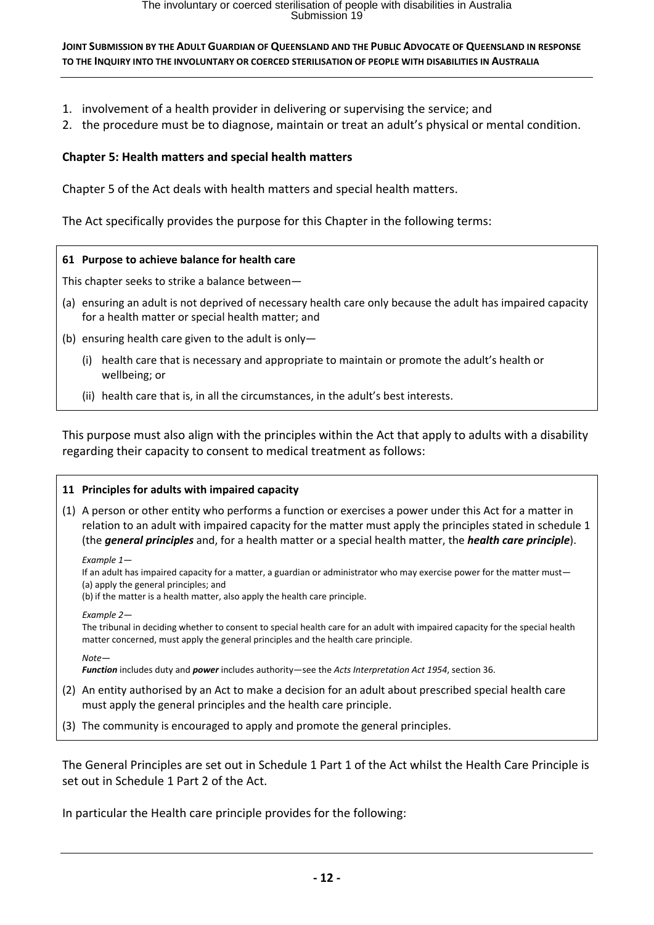- 1. involvement of a health provider in delivering or supervising the service; and
- 2. the procedure must be to diagnose, maintain or treat an adult's physical or mental condition.

### **Chapter 5: Health matters and special health matters**

Chapter 5 of the Act deals with health matters and special health matters.

The Act specifically provides the purpose for this Chapter in the following terms:

#### **61 Purpose to achieve balance for health care**

This chapter seeks to strike a balance between—

- (a) ensuring an adult is not deprived of necessary health care only because the adult has impaired capacity for a health matter or special health matter; and
- (b) ensuring health care given to the adult is only—
	- (i) health care that is necessary and appropriate to maintain or promote the adult's health or wellbeing; or
	- (ii) health care that is, in all the circumstances, in the adult's best interests.

This purpose must also align with the principles within the Act that apply to adults with a disability regarding their capacity to consent to medical treatment as follows:

#### **11 Principles for adults with impaired capacity**

(1) A person or other entity who performs a function or exercises a power under this Act for a matter in relation to an adult with impaired capacity for the matter must apply the principles stated in schedule 1 (the *general principles* and, for a health matter or a special health matter, the *health care principle*).

*Example 1*—

If an adult has impaired capacity for a matter, a guardian or administrator who may exercise power for the matter must— (a) apply the general principles; and

(b) if the matter is a health matter, also apply the health care principle.

*Example 2*—

The tribunal in deciding whether to consent to special health care for an adult with impaired capacity for the special health matter concerned, must apply the general principles and the health care principle.

*Note*—

*Function* includes duty and *power* includes authority—see the *Acts Interpretation Act 1954*, section 36.

- (2) An entity authorised by an Act to make a decision for an adult about prescribed special health care must apply the general principles and the health care principle.
- (3) The community is encouraged to apply and promote the general principles.

The General Principles are set out in Schedule 1 Part 1 of the Act whilst the Health Care Principle is set out in Schedule 1 Part 2 of the Act.

In particular the Health care principle provides for the following: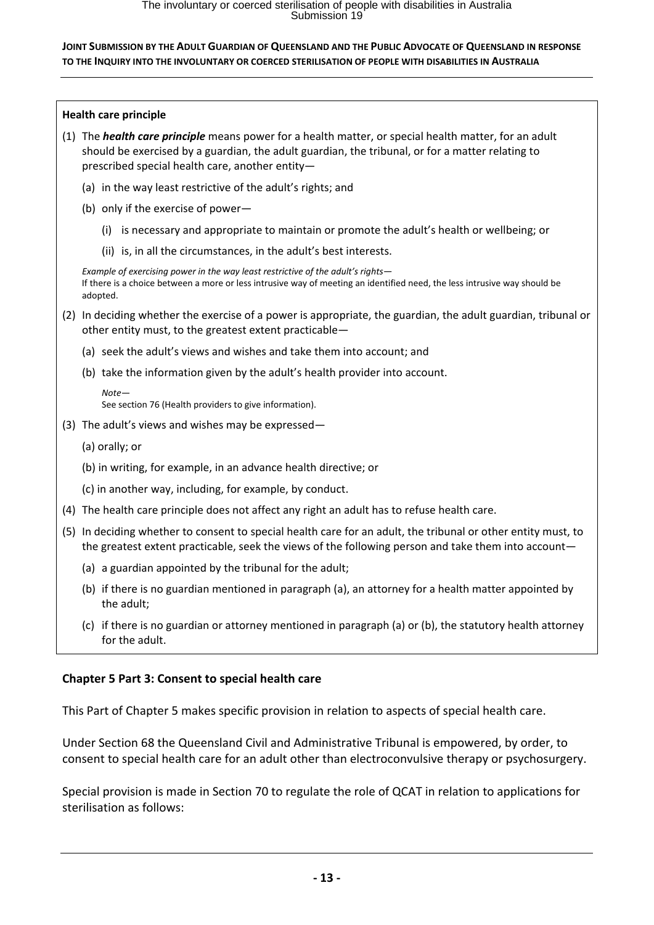| <b>Health care principle</b> |                                                                                                                                                                                                                                                                     |
|------------------------------|---------------------------------------------------------------------------------------------------------------------------------------------------------------------------------------------------------------------------------------------------------------------|
|                              | (1) The <i>health care principle</i> means power for a health matter, or special health matter, for an adult<br>should be exercised by a guardian, the adult guardian, the tribunal, or for a matter relating to<br>prescribed special health care, another entity- |
|                              | (a) in the way least restrictive of the adult's rights; and                                                                                                                                                                                                         |
|                              | (b) only if the exercise of power-                                                                                                                                                                                                                                  |
|                              | is necessary and appropriate to maintain or promote the adult's health or wellbeing; or<br>(i)                                                                                                                                                                      |
|                              | (ii) is, in all the circumstances, in the adult's best interests.                                                                                                                                                                                                   |
|                              | Example of exercising power in the way least restrictive of the adult's rights-<br>If there is a choice between a more or less intrusive way of meeting an identified need, the less intrusive way should be<br>adopted.                                            |
|                              | (2) In deciding whether the exercise of a power is appropriate, the guardian, the adult guardian, tribunal or<br>other entity must, to the greatest extent practicable-                                                                                             |
|                              | (a) seek the adult's views and wishes and take them into account; and                                                                                                                                                                                               |
|                              | (b) take the information given by the adult's health provider into account.                                                                                                                                                                                         |
|                              | $Note-$<br>See section 76 (Health providers to give information).                                                                                                                                                                                                   |
|                              | (3) The adult's views and wishes may be expressed-                                                                                                                                                                                                                  |
|                              | (a) orally; or                                                                                                                                                                                                                                                      |
|                              | (b) in writing, for example, in an advance health directive; or                                                                                                                                                                                                     |
|                              | (c) in another way, including, for example, by conduct.                                                                                                                                                                                                             |
|                              | (4) The health care principle does not affect any right an adult has to refuse health care.                                                                                                                                                                         |
|                              | (5) In deciding whether to consent to special health care for an adult, the tribunal or other entity must, to<br>the greatest extent practicable, seek the views of the following person and take them into account-                                                |
|                              | (a) a guardian appointed by the tribunal for the adult;                                                                                                                                                                                                             |
|                              | (b) if there is no guardian mentioned in paragraph (a), an attorney for a health matter appointed by<br>the adult;                                                                                                                                                  |

(c) if there is no guardian or attorney mentioned in paragraph (a) or (b), the statutory health attorney for the adult.

## **Chapter 5 Part 3: Consent to special health care**

This Part of Chapter 5 makes specific provision in relation to aspects of special health care.

Under Section 68 the Queensland Civil and Administrative Tribunal is empowered, by order, to consent to special health care for an adult other than electroconvulsive therapy or psychosurgery.

Special provision is made in Section 70 to regulate the role of QCAT in relation to applications for sterilisation as follows: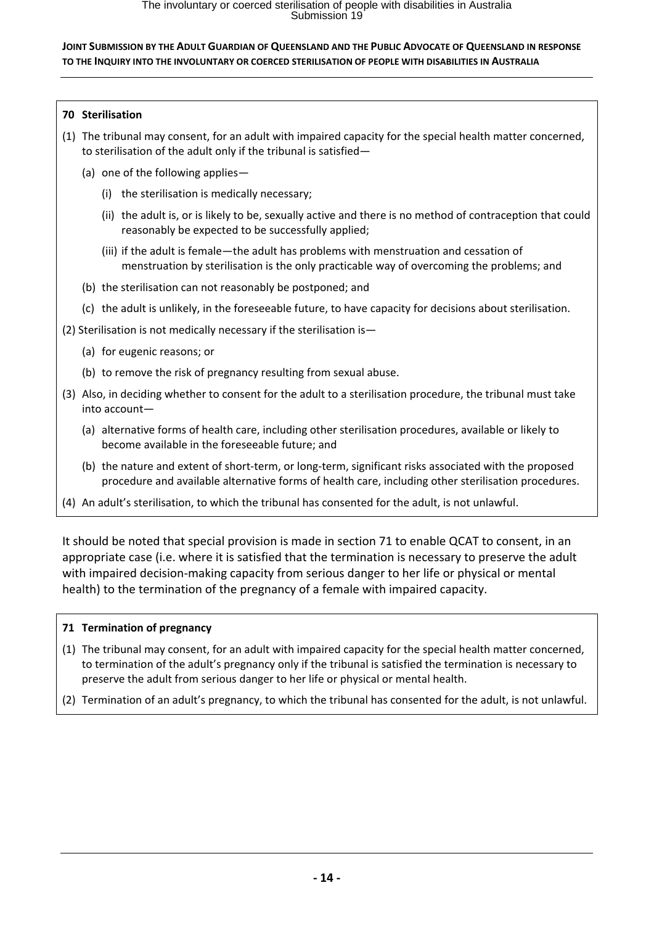### **70 Sterilisation**

- (1) The tribunal may consent, for an adult with impaired capacity for the special health matter concerned, to sterilisation of the adult only if the tribunal is satisfied—
	- (a) one of the following applies—
		- (i) the sterilisation is medically necessary;
		- (ii) the adult is, or is likely to be, sexually active and there is no method of contraception that could reasonably be expected to be successfully applied;
		- (iii) if the adult is female—the adult has problems with menstruation and cessation of menstruation by sterilisation is the only practicable way of overcoming the problems; and
	- (b) the sterilisation can not reasonably be postponed; and
	- (c) the adult is unlikely, in the foreseeable future, to have capacity for decisions about sterilisation.
- (2) Sterilisation is not medically necessary if the sterilisation is—
	- (a) for eugenic reasons; or
	- (b) to remove the risk of pregnancy resulting from sexual abuse.
- (3) Also, in deciding whether to consent for the adult to a sterilisation procedure, the tribunal must take into account—
	- (a) alternative forms of health care, including other sterilisation procedures, available or likely to become available in the foreseeable future; and
	- (b) the nature and extent of short-term, or long-term, significant risks associated with the proposed procedure and available alternative forms of health care, including other sterilisation procedures.
- (4) An adult's sterilisation, to which the tribunal has consented for the adult, is not unlawful.

It should be noted that special provision is made in section 71 to enable QCAT to consent, in an appropriate case (i.e. where it is satisfied that the termination is necessary to preserve the adult with impaired decision-making capacity from serious danger to her life or physical or mental health) to the termination of the pregnancy of a female with impaired capacity.

### **71 Termination of pregnancy**

- (1) The tribunal may consent, for an adult with impaired capacity for the special health matter concerned, to termination of the adult's pregnancy only if the tribunal is satisfied the termination is necessary to preserve the adult from serious danger to her life or physical or mental health.
- (2) Termination of an adult's pregnancy, to which the tribunal has consented for the adult, is not unlawful.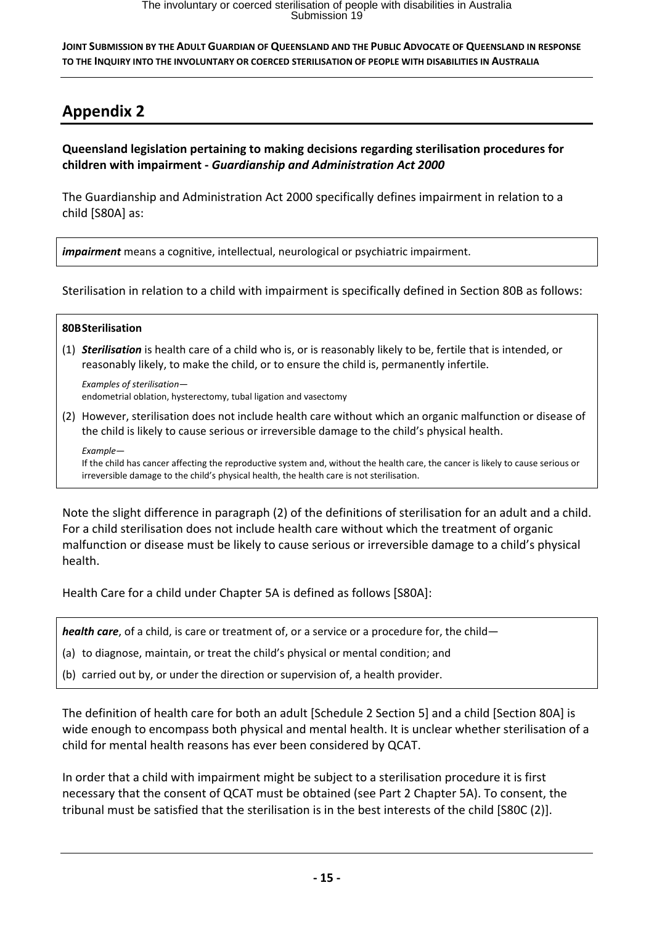# **Appendix 2**

**Queensland legislation pertaining to making decisions regarding sterilisation procedures for children with impairment ‐** *Guardianship and Administration Act 2000*

The Guardianship and Administration Act 2000 specifically defines impairment in relation to a child [S80A] as:

*impairment* means a cognitive, intellectual, neurological or psychiatric impairment.

Sterilisation in relation to a child with impairment is specifically defined in Section 80B as follows:

#### **80BSterilisation**

(1) *Sterilisation* is health care of a child who is, or is reasonably likely to be, fertile that is intended, or reasonably likely, to make the child, or to ensure the child is, permanently infertile.

*Examples of sterilisation* endometrial oblation, hysterectomy, tubal ligation and vasectomy

(2) However, sterilisation does not include health care without which an organic malfunction or disease of the child is likely to cause serious or irreversible damage to the child's physical health.

*Example*— If the child has cancer affecting the reproductive system and, without the health care, the cancer is likely to cause serious or irreversible damage to the child's physical health, the health care is not sterilisation.

Note the slight difference in paragraph (2) of the definitions of sterilisation for an adult and a child. For a child sterilisation does not include health care without which the treatment of organic malfunction or disease must be likely to cause serious or irreversible damage to a child's physical health.

Health Care for a child under Chapter 5A is defined as follows [S80A]:

*health care*, of a child, is care or treatment of, or a service or a procedure for, the child—

(a) to diagnose, maintain, or treat the child's physical or mental condition; and

(b) carried out by, or under the direction or supervision of, a health provider.

The definition of health care for both an adult [Schedule 2 Section 5] and a child [Section 80A] is wide enough to encompass both physical and mental health. It is unclear whether sterilisation of a child for mental health reasons has ever been considered by QCAT.

In order that a child with impairment might be subject to a sterilisation procedure it is first necessary that the consent of QCAT must be obtained (see Part 2 Chapter 5A). To consent, the tribunal must be satisfied that the sterilisation is in the best interests of the child [S80C (2)].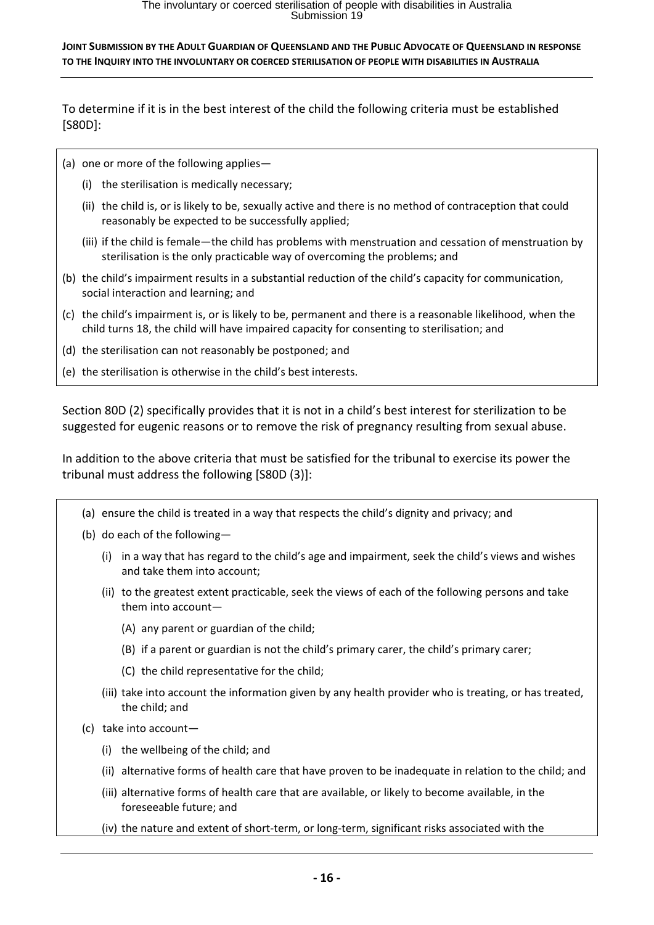To determine if it is in the best interest of the child the following criteria must be established [S80D]:

- (a) one or more of the following applies—
	- (i) the sterilisation is medically necessary;
	- (ii) the child is, or is likely to be, sexually active and there is no method of contraception that could reasonably be expected to be successfully applied;
	- (iii) if the child is female—the child has problems with menstruation and cessation of menstruation by sterilisation is the only practicable way of overcoming the problems; and
- (b) the child's impairment results in a substantial reduction of the child's capacity for communication, social interaction and learning; and
- (c) the child's impairment is, or is likely to be, permanent and there is a reasonable likelihood, when the child turns 18, the child will have impaired capacity for consenting to sterilisation; and
- (d) the sterilisation can not reasonably be postponed; and
- (e) the sterilisation is otherwise in the child's best interests.

Section 80D (2) specifically provides that it is not in a child's best interest for sterilization to be suggested for eugenic reasons or to remove the risk of pregnancy resulting from sexual abuse.

In addition to the above criteria that must be satisfied for the tribunal to exercise its power the tribunal must address the following [S80D (3)]:

- (a) ensure the child is treated in a way that respects the child's dignity and privacy; and
- (b) do each of the following—
	- (i) in a way that has regard to the child's age and impairment, seek the child's views and wishes and take them into account;
	- (ii) to the greatest extent practicable, seek the views of each of the following persons and take them into account—
		- (A) any parent or guardian of the child;
		- (B) if a parent or guardian is not the child's primary carer, the child's primary carer;
		- (C) the child representative for the child;
	- (iii) take into account the information given by any health provider who is treating, or has treated, the child; and
- (c) take into account—
	- (i) the wellbeing of the child; and
	- (ii) alternative forms of health care that have proven to be inadequate in relation to the child; and
	- (iii) alternative forms of health care that are available, or likely to become available, in the foreseeable future; and
	- (iv) the nature and extent of short‐term, or long‐term, significant risks associated with the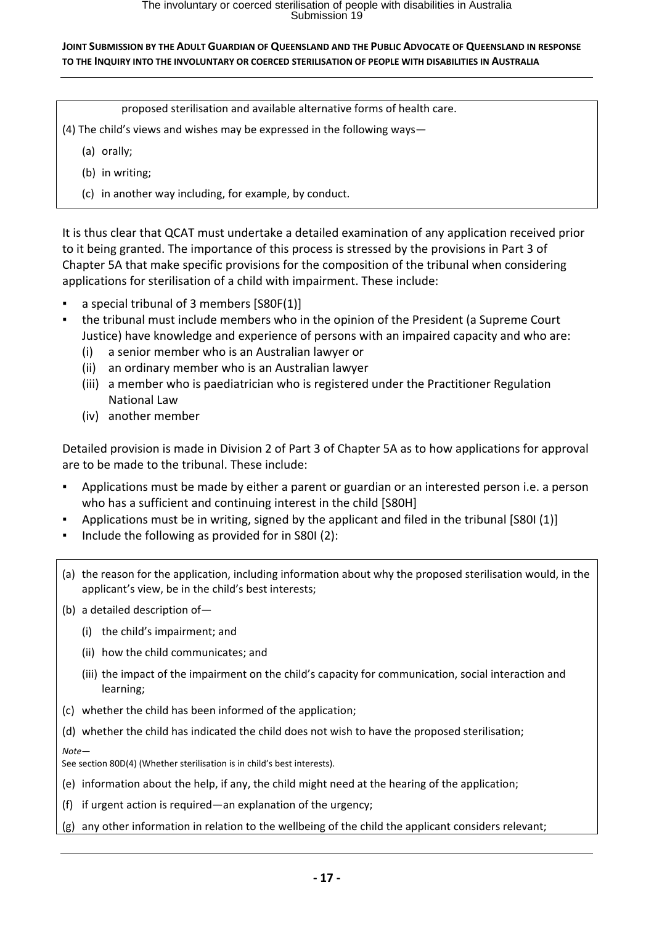proposed sterilisation and available alternative forms of health care.

- (4) The child's views and wishes may be expressed in the following ways—
	- (a) orally;
	- (b) in writing;
	- (c) in another way including, for example, by conduct.

It is thus clear that QCAT must undertake a detailed examination of any application received prior to it being granted. The importance of this process is stressed by the provisions in Part 3 of Chapter 5A that make specific provisions for the composition of the tribunal when considering applications for sterilisation of a child with impairment. These include:

- a special tribunal of 3 members [S80F(1)]
- the tribunal must include members who in the opinion of the President (a Supreme Court Justice) have knowledge and experience of persons with an impaired capacity and who are:
	- (i) a senior member who is an Australian lawyer or
	- (ii) an ordinary member who is an Australian lawyer
	- (iii) a member who is paediatrician who is registered under the Practitioner Regulation National Law
	- (iv) another member

Detailed provision is made in Division 2 of Part 3 of Chapter 5A as to how applications for approval are to be made to the tribunal. These include:

- Applications must be made by either a parent or guardian or an interested person i.e. a person who has a sufficient and continuing interest in the child [S80H]
- Applications must be in writing, signed by the applicant and filed in the tribunal [S80I (1)]
- Include the following as provided for in S80I  $(2)$ :
- (a) the reason for the application, including information about why the proposed sterilisation would, in the applicant's view, be in the child's best interests;
- (b) a detailed description of—
	- (i) the child's impairment; and
	- (ii) how the child communicates; and
	- (iii) the impact of the impairment on the child's capacity for communication, social interaction and learning;
- (c) whether the child has been informed of the application;
- (d) whether the child has indicated the child does not wish to have the proposed sterilisation;

*Note*—

See section 80D(4) (Whether sterilisation is in child's best interests).

- (e) information about the help, if any, the child might need at the hearing of the application;
- (f) if urgent action is required—an explanation of the urgency;
- (g) any other information in relation to the wellbeing of the child the applicant considers relevant;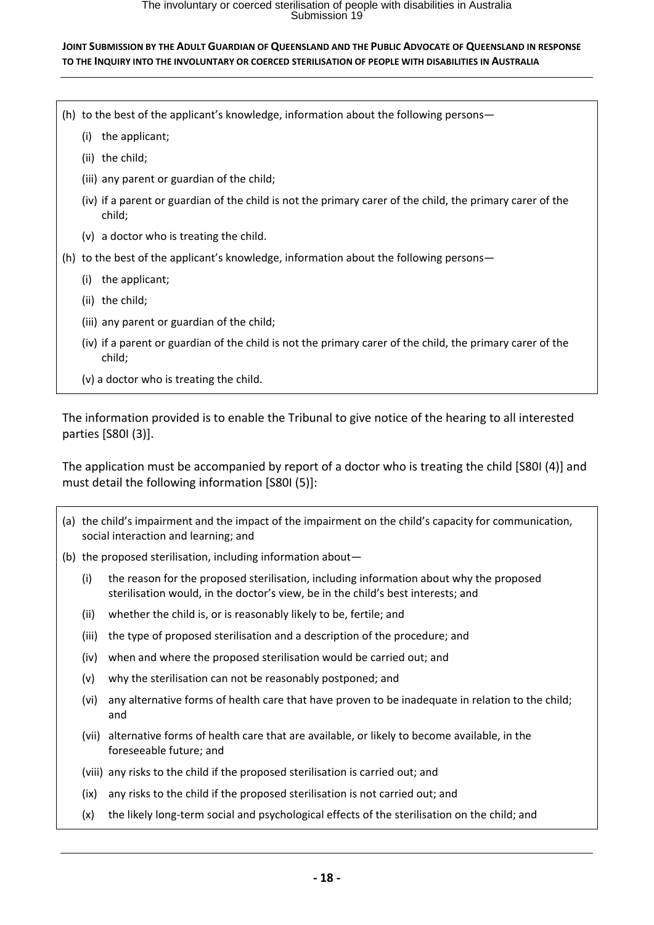# The involuntary or coerced sterilisation of people with disabilities in Australia<br>Submission 19

#### **JOINT SUBMISSION BY THE ADULT GUARDIAN OF QUEENSLAND AND THE PUBLIC ADVOCATE OF QUEENSLAND IN RESPONSE TO THE INQUIRY INTO THE INVOLUNTARY OR COERCED STERILISATION OF PEOPLE WITH DISABILITIES IN AUSTRALIA**

- (h) to the best of the applicant's knowledge, information about the following persons—
	- (i) the applicant;
	- (ii) the child;
	- (iii) any parent or guardian of the child;
	- (iv) if a parent or guardian of the child is not the primary carer of the child, the primary carer of the child;
	- (v) a doctor who is treating the child.
- (h) to the best of the applicant's knowledge, information about the following persons—
	- (i) the applicant;
	- (ii) the child;
	- (iii) any parent or guardian of the child;
	- (iv) if a parent or guardian of the child is not the primary carer of the child, the primary carer of the child;
	- (v) a doctor who is treating the child.

The information provided is to enable the Tribunal to give notice of the hearing to all interested parties [S80I (3)].

The application must be accompanied by report of a doctor who is treating the child [S80I (4)] and must detail the following information [S80I (5)]:

- (a) the child's impairment and the impact of the impairment on the child's capacity for communication, social interaction and learning; and
- (b) the proposed sterilisation, including information about—
	- (i) the reason for the proposed sterilisation, including information about why the proposed sterilisation would, in the doctor's view, be in the child's best interests; and
	- (ii) whether the child is, or is reasonably likely to be, fertile; and
	- (iii) the type of proposed sterilisation and a description of the procedure; and
	- (iv) when and where the proposed sterilisation would be carried out; and
	- (v) why the sterilisation can not be reasonably postponed; and
	- (vi) any alternative forms of health care that have proven to be inadequate in relation to the child; and
	- (vii) alternative forms of health care that are available, or likely to become available, in the foreseeable future; and
	- (viii) any risks to the child if the proposed sterilisation is carried out; and
	- (ix) any risks to the child if the proposed sterilisation is not carried out; and
	- (x) the likely long‐term social and psychological effects of the sterilisation on the child; and